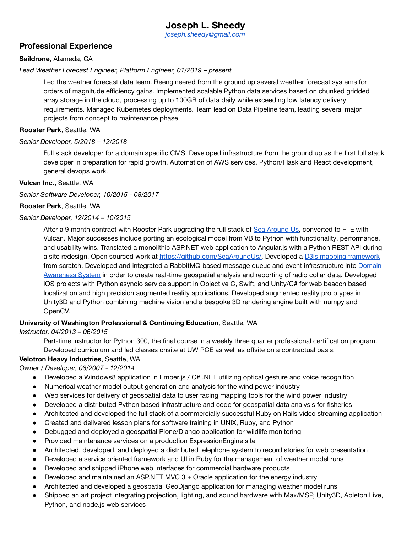# **Joseph L. Sheedy**

*[joseph.sheedy@gmail.com](mailto:joseph.sheedy@gmail.com)*

# **Professional Experience**

#### **Saildrone**, Alameda, CA

#### *Lead Weather Forecast Engineer, Platform Engineer, 01/2019 – present*

Led the weather forecast data team. Reengineered from the ground up several weather forecast systems for orders of magnitude efficiency gains. Implemented scalable Python data services based on chunked gridded array storage in the cloud, processing up to 100GB of data daily while exceeding low latency delivery requirements. Managed Kubernetes deployments. Team lead on Data Pipeline team, leading several major projects from concept to maintenance phase.

#### **Rooster Park**, Seattle, WA

#### *Senior Developer, 5/2018 – 12/2018*

Full stack developer for a domain specific CMS. Developed infrastructure from the ground up as the first full stack developer in preparation for rapid growth. Automation of AWS services, Python/Flask and React development, general devops work.

#### **Vulcan Inc.,** Seattle, WA

*Senior Software Developer, 10/2015 - 08/2017*

#### **Rooster Park**, Seattle, WA

#### *Senior Developer, 12/2014 – 10/2015*

After a 9 month contract with Rooster Park upgrading the full stack of Sea [Around](http://www.seaaroundus.org/data/) Us, converted to FTE with Vulcan. Major successes include porting an ecological model from VB to Python with functionality, performance, and usability wins. Translated a monolithic ASP.NET web application to Angular.js with a Python REST API during a site redesign. Open sourced work at [https://github.com/SeaAroundUs/.](https://github.com/SeaAroundUs/) Developed a D3is mapping [framework](https://github.com/VulcanTechnologies/d3-grid-map) from scratch. Developed and integrated a RabbitMQ based message queue and event infrastructure into [Domain](https://www.bloomberg.com/news/features/2017-05-09/paul-allen-is-using-technology-to-save-the-african-elephant) [Awareness](https://www.bloomberg.com/news/features/2017-05-09/paul-allen-is-using-technology-to-save-the-african-elephant) System in order to create real-time geospatial analysis and reporting of radio collar data. Developed iOS projects with Python asyncio service support in Objective C, Swift, and Unity/C# for web beacon based localization and high precision augmented reality applications. Developed augmented reality prototypes in Unity3D and Python combining machine vision and a bespoke 3D rendering engine built with numpy and OpenCV.

## **University of Washington Professional & Continuing Education**, Seattle, WA

#### *Instructor, 04/2013 – 06/2015*

Part-time instructor for Python 300, the final course in a weekly three quarter professional certification program. Developed curriculum and led classes onsite at UW PCE as well as offsite on a contractual basis.

# **Velotron Heavy Industries**, Seattle, WA

## *Owner / Developer, 08/2007 - 12/2014*

- Developed a Windows8 application in Ember.js / C# .NET utilizing optical gesture and voice recognition
- Numerical weather model output generation and analysis for the wind power industry
- Web services for delivery of geospatial data to user facing mapping tools for the wind power industry
- Developed a distributed Python based infrastructure and code for geospatial data analysis for fisheries
- Architected and developed the full stack of a commercially successful Ruby on Rails video streaming application
- Created and delivered lesson plans for software training in UNIX, Ruby, and Python
- Debugged and deployed a geospatial Plone/Django application for wildlife monitoring
- Provided maintenance services on a production ExpressionEngine site
- Architected, developed, and deployed a distributed telephone system to record stories for web presentation
- Developed a service oriented framework and UI in Ruby for the management of weather model runs
- Developed and shipped iPhone web interfaces for commercial hardware products
- Developed and maintained an ASP.NET MVC  $3 +$  Oracle application for the energy industry
- Architected and developed a geospatial GeoDjango application for managing weather model runs
- Shipped an art project integrating projection, lighting, and sound hardware with Max/MSP, Unity3D, Ableton Live, Python, and node.js web services